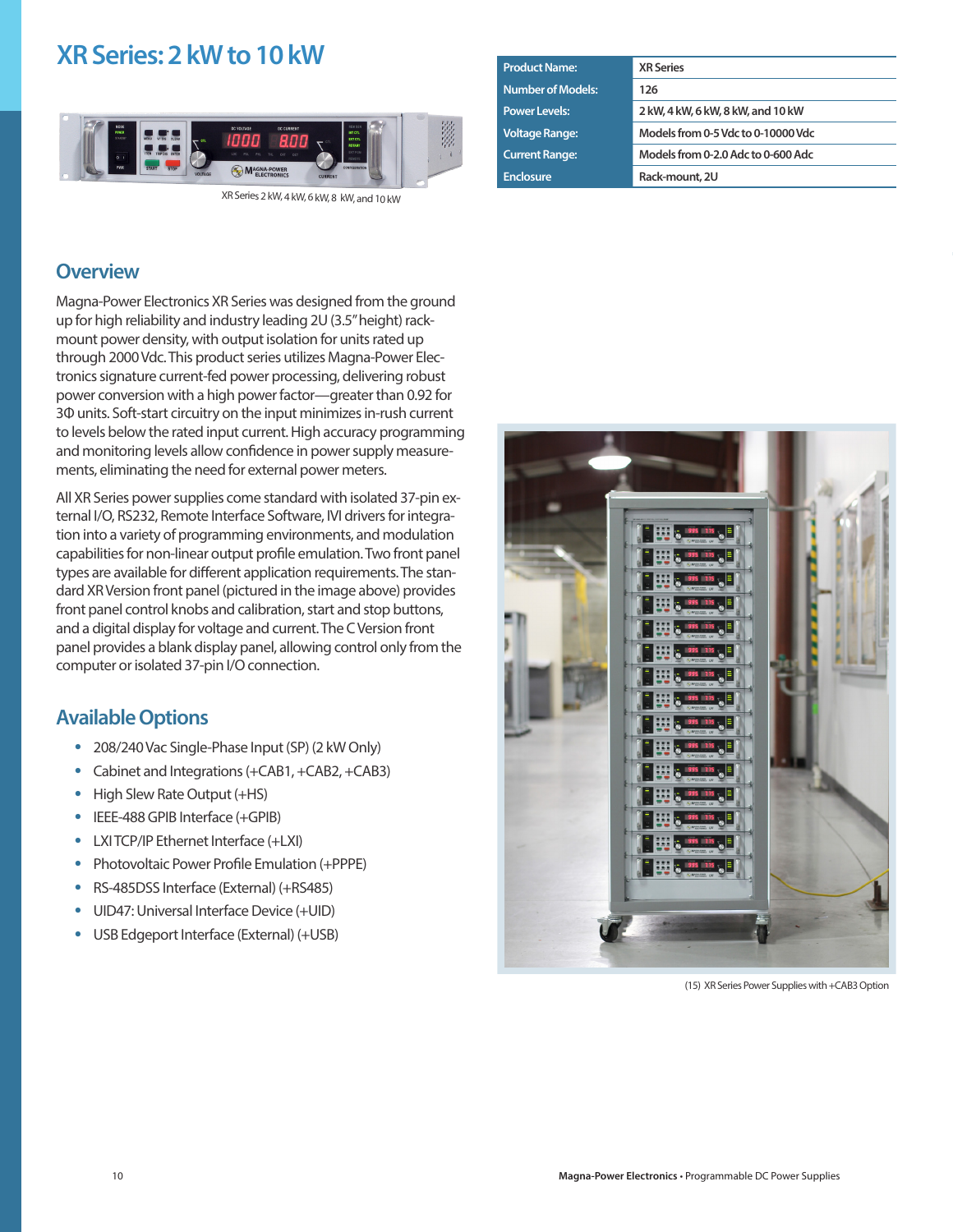# **XR Series: 2 kW to 10 kW**



XR Series 2 kW, 4 kW, 6 kW, 8 kW, and 10 kW

| <b>Product Name:</b>     | <b>XR Series</b>                   |
|--------------------------|------------------------------------|
| <b>Number of Models:</b> | 126                                |
| <b>Power Levels:</b>     | 2 kW, 4 kW, 6 kW, 8 kW, and 10 kW  |
| <b>Voltage Range:</b>    | Models from 0-5 Vdc to 0-10000 Vdc |
| <b>Current Range:</b>    | Models from 0-2.0 Adc to 0-600 Adc |
| <b>Enclosure</b>         | Rack-mount, 2U                     |
|                          |                                    |

#### **Overview**

Magna-Power Electronics XR Series was designed from the ground up for high reliability and industry leading 2U (3.5" height) rackmount power density, with output isolation for units rated up through 2000 Vdc. This product series utilizes Magna-Power Electronics signature current-fed power processing, delivering robust power conversion with a high power factor—greater than 0.92 for 3Φ units. Soft-start circuitry on the input minimizes in-rush current to levels below the rated input current. High accuracy programming and monitoring levels allow confidence in power supply measurements, eliminating the need for external power meters.

All XR Series power supplies come standard with isolated 37-pin external I/O, RS232, Remote Interface Software, IVI drivers for integration into a variety of programming environments, and modulation capabilities for non-linear output profile emulation. Two front panel types are available for different application requirements. The standard XR Version front panel (pictured in the image above) provides front panel control knobs and calibration, start and stop buttons, and a digital display for voltage and current. The C Version front panel provides a blank display panel, allowing control only from the computer or isolated 37-pin I/O connection.

#### **Available Options**

- **•** 208/240 Vac Single-Phase Input (SP) (2 kW Only)
- **•** Cabinet and Integrations (+CAB1, +CAB2, +CAB3)
- **•** High Slew Rate Output (+HS)
- **•** IEEE-488 GPIB Interface (+GPIB)
- **•** LXI TCP/IP Ethernet Interface (+LXI)
- **•** Photovoltaic Power Profile Emulation (+PPPE)
- **•** RS-485DSS Interface (External) (+RS485)
- **•** UID47: Universal Interface Device (+UID)
- **•** USB Edgeport Interface (External) (+USB)



(15) XR Series Power Supplies with +CAB3 Option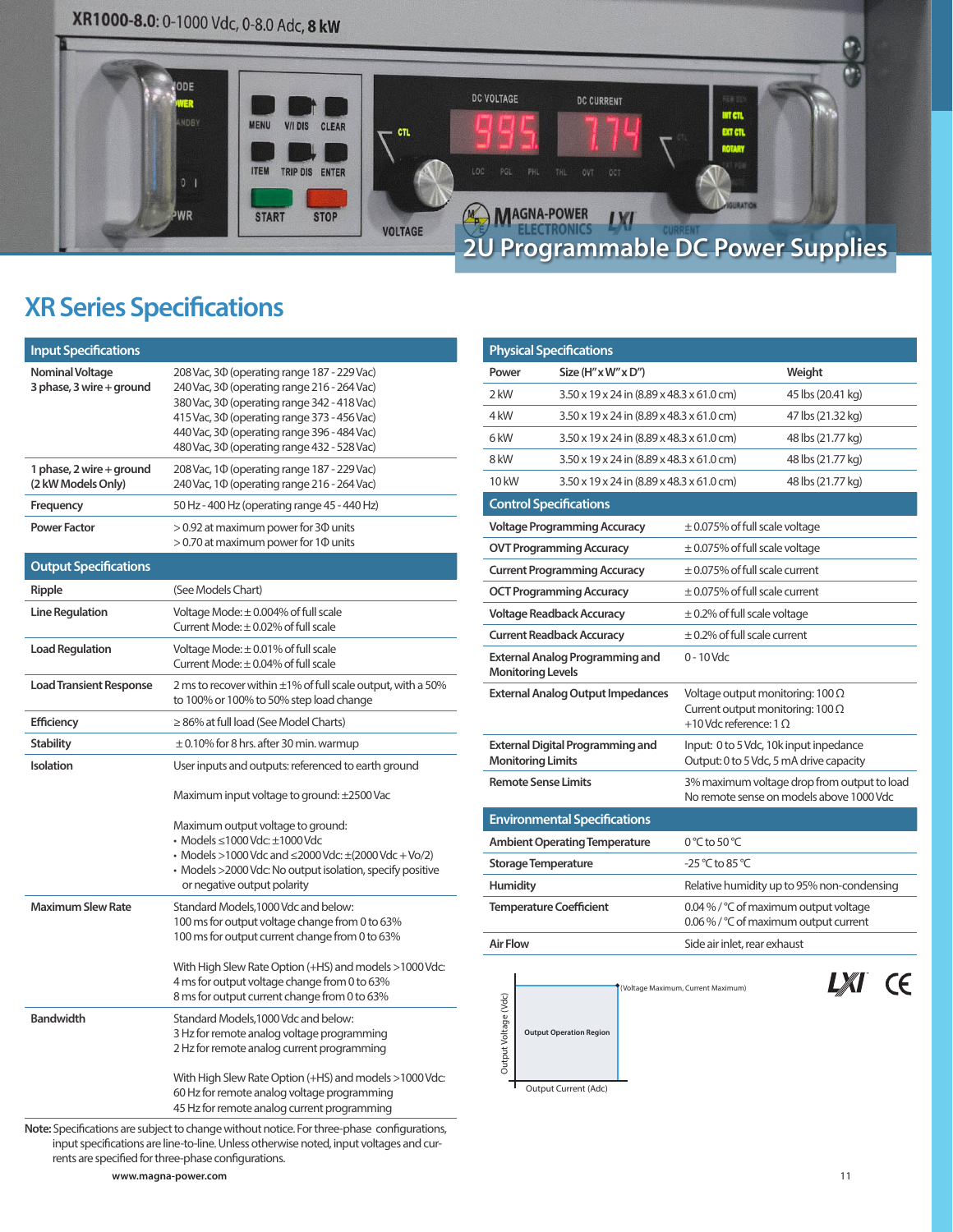# XR1000-8.0: 0-1000 Vdc, 0-8.0 Adc, 8 kW



# **XR Series Specifications**

| <b>Input Specifications</b>                        |                                                                                                                                                                                                                                                                                        |
|----------------------------------------------------|----------------------------------------------------------------------------------------------------------------------------------------------------------------------------------------------------------------------------------------------------------------------------------------|
| <b>Nominal Voltage</b><br>3 phase, 3 wire + ground | 208 Vac, 30 (operating range 187 - 229 Vac)<br>240 Vac, 30 (operating range 216 - 264 Vac)<br>380 Vac, 30 (operating range 342 - 418 Vac)<br>415 Vac, 30 (operating range 373 - 456 Vac)<br>440 Vac, 30 (operating range 396 - 484 Vac)<br>480 Vac, 30 (operating range 432 - 528 Vac) |
| 1 phase, 2 wire + ground<br>(2 kW Models Only)     | 208 Vac, 1 $\Phi$ (operating range 187 - 229 Vac)<br>240 Vac, 10 (operating range 216 - 264 Vac)                                                                                                                                                                                       |
| Frequency                                          | 50 Hz - 400 Hz (operating range 45 - 440 Hz)                                                                                                                                                                                                                                           |
| <b>Power Factor</b>                                | > 0.92 at maximum power for 30 units<br>> 0.70 at maximum power for 10 units                                                                                                                                                                                                           |
| <b>Output Specifications</b>                       |                                                                                                                                                                                                                                                                                        |
| Ripple                                             | (See Models Chart)                                                                                                                                                                                                                                                                     |
| <b>Line Regulation</b>                             | Voltage Mode: $\pm$ 0.004% of full scale<br>Current Mode: $\pm$ 0.02% of full scale                                                                                                                                                                                                    |
| <b>Load Regulation</b>                             | Voltage Mode: $\pm$ 0.01% of full scale<br>Current Mode: $\pm$ 0.04% of full scale                                                                                                                                                                                                     |
| <b>Load Transient Response</b>                     | 2 ms to recover within $\pm 1\%$ of full scale output, with a 50%<br>to 100% or 100% to 50% step load change                                                                                                                                                                           |
| <b>Efficiency</b>                                  | $\geq$ 86% at full load (See Model Charts)                                                                                                                                                                                                                                             |
| <b>Stability</b>                                   | $\pm$ 0.10% for 8 hrs. after 30 min. warmup                                                                                                                                                                                                                                            |
| Isolation                                          | User inputs and outputs: referenced to earth ground                                                                                                                                                                                                                                    |
|                                                    | Maximum input voltage to ground: ±2500 Vac                                                                                                                                                                                                                                             |
|                                                    | Maximum output voltage to ground:<br>• Models ≤1000 Vdc: ±1000 Vdc<br>• Models >1000 Vdc and $\leq$ 2000 Vdc: $\pm$ (2000 Vdc + Vo/2)<br>• Models >2000 Vdc: No output isolation, specify positive<br>or negative output polarity                                                      |
| <b>Maximum Slew Rate</b>                           | Standard Models, 1000 Vdc and below:<br>100 ms for output voltage change from 0 to 63%<br>100 ms for output current change from 0 to 63%                                                                                                                                               |
|                                                    | With High Slew Rate Option (+HS) and models >1000 Vdc:<br>4 ms for output voltage change from 0 to 63%<br>8 ms for output current change from 0 to 63%                                                                                                                                 |
| <b>Bandwidth</b>                                   | Standard Models, 1000 Vdc and below:<br>3 Hz for remote analog voltage programming<br>2 Hz for remote analog current programming                                                                                                                                                       |
|                                                    | With High Slew Rate Option (+HS) and models >1000 Vdc:<br>60 Hz for remote analog voltage programming<br>45 Hz for remote analog current programming                                                                                                                                   |
|                                                    | Note: Specifications are subject to change without notice. For three-phase configurations,                                                                                                                                                                                             |

input specifications are line-to-line. Unless otherwise noted, input voltages and currents are specified for three-phase configurations.

|                                                                                                                 | <b>Physical Specifications</b>                              |                                                  |                                                                                                                                                                             |  |  |
|-----------------------------------------------------------------------------------------------------------------|-------------------------------------------------------------|--------------------------------------------------|-----------------------------------------------------------------------------------------------------------------------------------------------------------------------------|--|--|
| Power                                                                                                           | Size $(H'' \times W'' \times D'')$                          |                                                  | Weight                                                                                                                                                                      |  |  |
| 2 kW                                                                                                            |                                                             | 3.50 x 19 x 24 in (8.89 x 48.3 x 61.0 cm)        | 45 lbs (20.41 kg)                                                                                                                                                           |  |  |
| 4 kW                                                                                                            |                                                             | 3.50 x 19 x 24 in (8.89 x 48.3 x 61.0 cm)        | 47 lbs (21.32 kg)                                                                                                                                                           |  |  |
| 6 kW                                                                                                            |                                                             | 3.50 x 19 x 24 in (8.89 x 48.3 x 61.0 cm)        | 48 lbs (21.77 kg)                                                                                                                                                           |  |  |
| 8 kW                                                                                                            |                                                             | 3.50 x 19 x 24 in (8.89 x 48.3 x 61.0 cm)        | 48 lbs (21.77 kg)                                                                                                                                                           |  |  |
| 10 kW                                                                                                           |                                                             | 3.50 x 19 x 24 in (8.89 x 48.3 x 61.0 cm)        | 48 lbs (21.77 kg)                                                                                                                                                           |  |  |
|                                                                                                                 | <b>Control Specifications</b>                               |                                                  |                                                                                                                                                                             |  |  |
|                                                                                                                 | <b>Voltage Programming Accuracy</b>                         | $\pm$ 0.075% of full scale voltage               |                                                                                                                                                                             |  |  |
|                                                                                                                 | <b>OVT Programming Accuracy</b>                             | $\pm$ 0.075% of full scale voltage               |                                                                                                                                                                             |  |  |
|                                                                                                                 | <b>Current Programming Accuracy</b>                         | $\pm$ 0.075% of full scale current               |                                                                                                                                                                             |  |  |
|                                                                                                                 | <b>OCT Programming Accuracy</b>                             | $\pm$ 0.075% of full scale current               |                                                                                                                                                                             |  |  |
|                                                                                                                 | <b>Voltage Readback Accuracy</b>                            | $\pm$ 0.2% of full scale voltage                 |                                                                                                                                                                             |  |  |
|                                                                                                                 | <b>Current Readback Accuracy</b>                            | $\pm$ 0.2% of full scale current                 |                                                                                                                                                                             |  |  |
|                                                                                                                 | External Analog Programming and<br><b>Monitoring Levels</b> | $0 - 10$ Vdc                                     |                                                                                                                                                                             |  |  |
| <b>External Analog Output Impedances</b><br><b>External Digital Programming and</b><br><b>Monitoring Limits</b> |                                                             |                                                  | Voltage output monitoring: $100 \Omega$<br>Current output monitoring: $100 \Omega$<br>+10 Vdc reference: $1 \Omega$                                                         |  |  |
|                                                                                                                 |                                                             |                                                  | Input: 0 to 5 Vdc, 10k input inpedance<br>Output: 0 to 5 Vdc, 5 mA drive capacity                                                                                           |  |  |
|                                                                                                                 |                                                             |                                                  |                                                                                                                                                                             |  |  |
|                                                                                                                 | <b>Remote Sense Limits</b>                                  |                                                  | No remote sense on models above 1000 Vdc                                                                                                                                    |  |  |
|                                                                                                                 | <b>Environmental Specifications</b>                         |                                                  |                                                                                                                                                                             |  |  |
|                                                                                                                 | <b>Ambient Operating Temperature</b>                        | 0 °C to 50 °C                                    |                                                                                                                                                                             |  |  |
|                                                                                                                 | <b>Storage Temperature</b>                                  | $-25\,^{\circ}\text{C}$ to 85 $^{\circ}\text{C}$ |                                                                                                                                                                             |  |  |
| <b>Humidity</b>                                                                                                 |                                                             |                                                  |                                                                                                                                                                             |  |  |
|                                                                                                                 | <b>Temperature Coefficient</b>                              |                                                  | 3% maximum voltage drop from output to load<br>Relative humidity up to 95% non-condensing<br>0.04 % / °C of maximum output voltage<br>0.06 % / °C of maximum output current |  |  |

Output Current (Adc)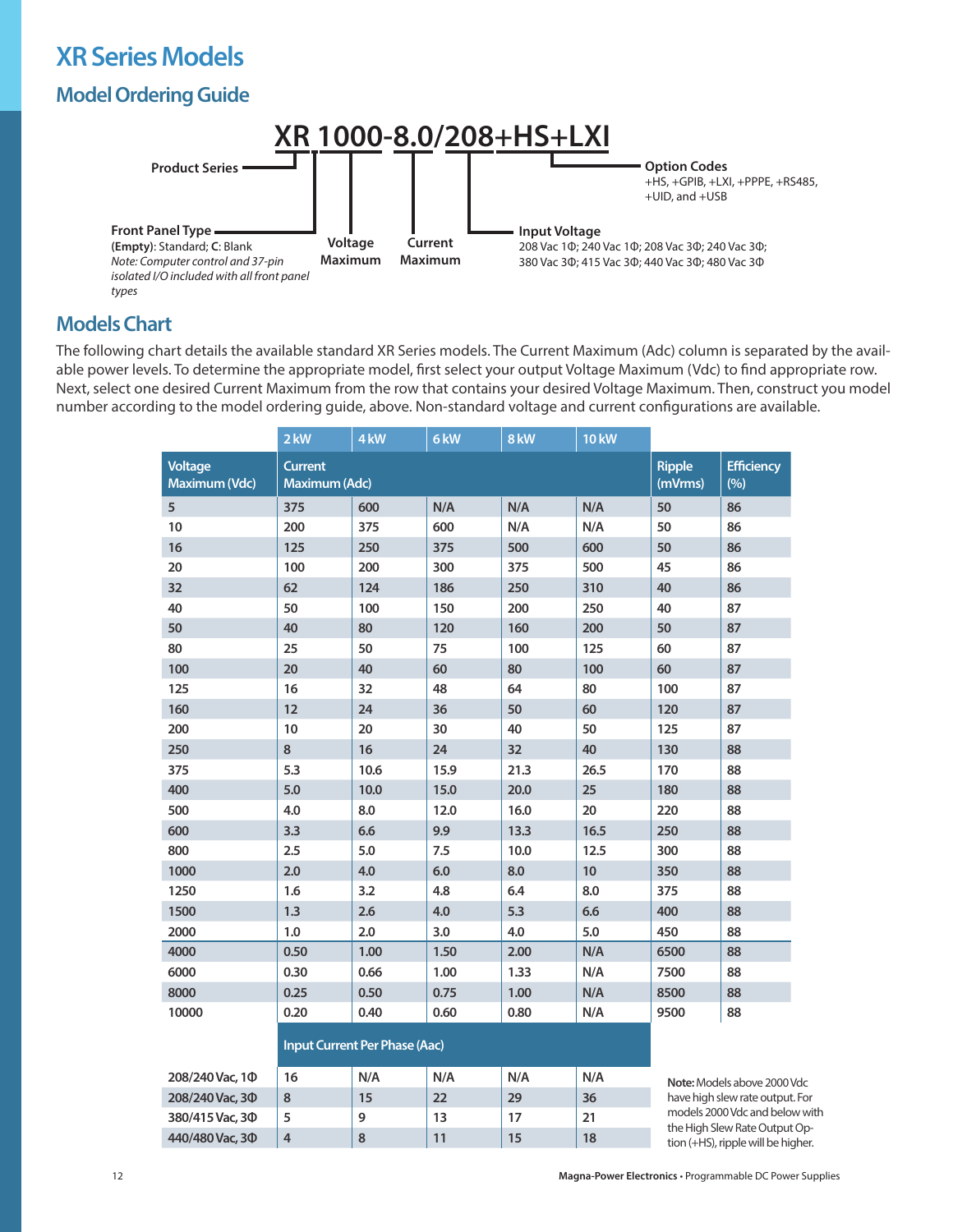# **XR Series Models**

# **Model Ordering Guide**



#### **Models Chart**

The following chart details the available standard XR Series models. The Current Maximum (Adc) column is separated by the available power levels. To determine the appropriate model, first select your output Voltage Maximum (Vdc) to find appropriate row. Next, select one desired Current Maximum from the row that contains your desired Voltage Maximum. Then, construct you model number according to the model ordering guide, above. Non-standard voltage and current configurations are available.

|                                 | $2$ kW                          | 4 <sub>kW</sub> | 6 <sub>kW</sub> | 8 kW | <b>10 kW</b>             |                          |    |
|---------------------------------|---------------------------------|-----------------|-----------------|------|--------------------------|--------------------------|----|
| <b>Voltage</b><br>Maximum (Vdc) | <b>Current</b><br>Maximum (Adc) |                 |                 |      | <b>Ripple</b><br>(mVrms) | <b>Efficiency</b><br>(%) |    |
| 5                               | 375                             | 600             | N/A             | N/A  | N/A                      | 50                       | 86 |
| 10                              | 200                             | 375             | 600             | N/A  | N/A                      | 50                       | 86 |
| 16                              | 125                             | 250             | 375             | 500  | 600                      | 50                       | 86 |
| 20                              | 100                             | 200             | 300             | 375  | 500                      | 45                       | 86 |
| 32                              | 62                              | 124             | 186             | 250  | 310                      | 40                       | 86 |
| 40                              | 50                              | 100             | 150             | 200  | 250                      | 40                       | 87 |
| 50                              | 40                              | 80              | 120             | 160  | 200                      | 50                       | 87 |
| 80                              | 25                              | 50              | 75              | 100  | 125                      | 60                       | 87 |
| 100                             | 20                              | 40              | 60              | 80   | 100                      | 60                       | 87 |
| 125                             | 16                              | 32              | 48              | 64   | 80                       | 100                      | 87 |
| 160                             | 12                              | 24              | 36              | 50   | 60                       | 120                      | 87 |
| 200                             | 10                              | 20              | 30              | 40   | 50                       | 125                      | 87 |
| 250                             | $\bf 8$                         | 16              | 24              | 32   | 40                       | 130                      | 88 |
| 375                             | 5.3                             | 10.6            | 15.9            | 21.3 | 26.5                     | 170                      | 88 |
| 400                             | 5.0                             | 10.0            | 15.0            | 20.0 | 25                       | 180                      | 88 |
| 500                             | 4.0                             | 8.0             | 12.0            | 16.0 | 20                       | 220                      | 88 |
| 600                             | 3.3                             | 6.6             | 9.9             | 13.3 | 16.5                     | 250                      | 88 |
| 800                             | 2.5                             | 5.0             | 7.5             | 10.0 | 12.5                     | 300                      | 88 |
| 1000                            | 2.0                             | 4.0             | 6.0             | 8.0  | 10                       | 350                      | 88 |
| 1250                            | 1.6                             | 3.2             | 4.8             | 6.4  | 8.0                      | 375                      | 88 |
| 1500                            | 1.3                             | 2.6             | 4.0             | 5.3  | 6.6                      | 400                      | 88 |
| 2000                            | 1.0                             | 2.0             | 3.0             | 4.0  | 5.0                      | 450                      | 88 |
| 4000                            | 0.50                            | 1.00            | 1.50            | 2.00 | N/A                      | 6500                     | 88 |
| 6000                            | 0.30                            | 0.66            | 1.00            | 1.33 | N/A                      | 7500                     | 88 |
| 8000                            | 0.25                            | 0.50            | 0.75            | 1.00 | N/A                      | 8500                     | 88 |
| 10000                           | 0.20                            | 0.40            | 0.60            | 0.80 | N/A                      | 9500                     | 88 |

#### **Input Current Per Phase (Aac)**

| 208/240 Vac, 10 | 16 | N/A | N/A | N/A | N/A |
|-----------------|----|-----|-----|-----|-----|
| 208/240 Vac. 30 | 8  | 15  | 22  | 29  | 36  |
| 380/415 Vac, 30 |    | 9   | 13  |     | 21  |
| 440/480 Vac, 30 |    | O   |     | 15  | 18  |

**Note:** Models above 2000 Vdc have high slew rate output. For models 2000 Vdc and below with the High Slew Rate Output Option (+HS), ripple will be higher.